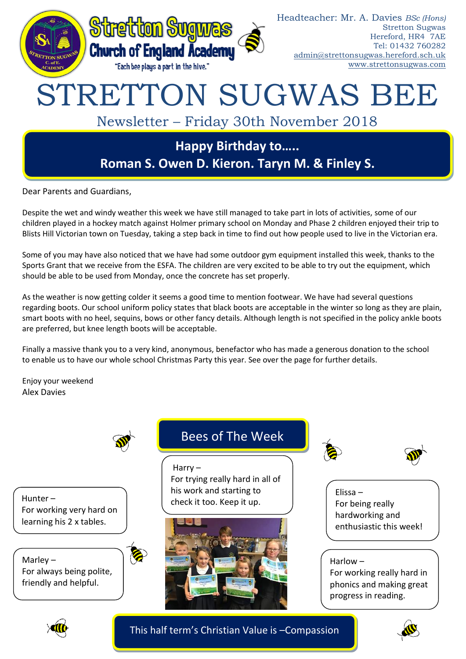

Dear Parents and Guardians,

Despite the wet and windy weather this week we have still managed to take part in lots of activities, some of our children played in a hockey match against Holmer primary school on Monday and Phase 2 children enjoyed their trip to Blists Hill Victorian town on Tuesday, taking a step back in time to find out how people used to live in the Victorian era.

Some of you may have also noticed that we have had some outdoor gym equipment installed this week, thanks to the Sports Grant that we receive from the ESFA. The children are very excited to be able to try out the equipment, which should be able to be used from Monday, once the concrete has set properly.

As the weather is now getting colder it seems a good time to mention footwear. We have had several questions regarding boots. Our school uniform policy states that black boots are acceptable in the winter so long as they are plain, smart boots with no heel, sequins, bows or other fancy details. Although length is not specified in the policy ankle boots are preferred, but knee length boots will be acceptable.

Finally a massive thank you to a very kind, anonymous, benefactor who has made a generous donation to the school to enable us to have our whole school Christmas Party this year. See over the page for further details.

Enjoy your weekend Alex Davies



Hunter – For working very hard on learning his 2 x tables.

Marley – For always being polite, friendly and helpful.

# Bees of The Week

Harry – For trying really hard in all of his work and starting to check it too. Keep it up.







Elissa – For being really hardworking and enthusiastic this week!

Harlow –

For working really hard in phonics and making great progress in reading.



This half term's Christian Value is –Compassion